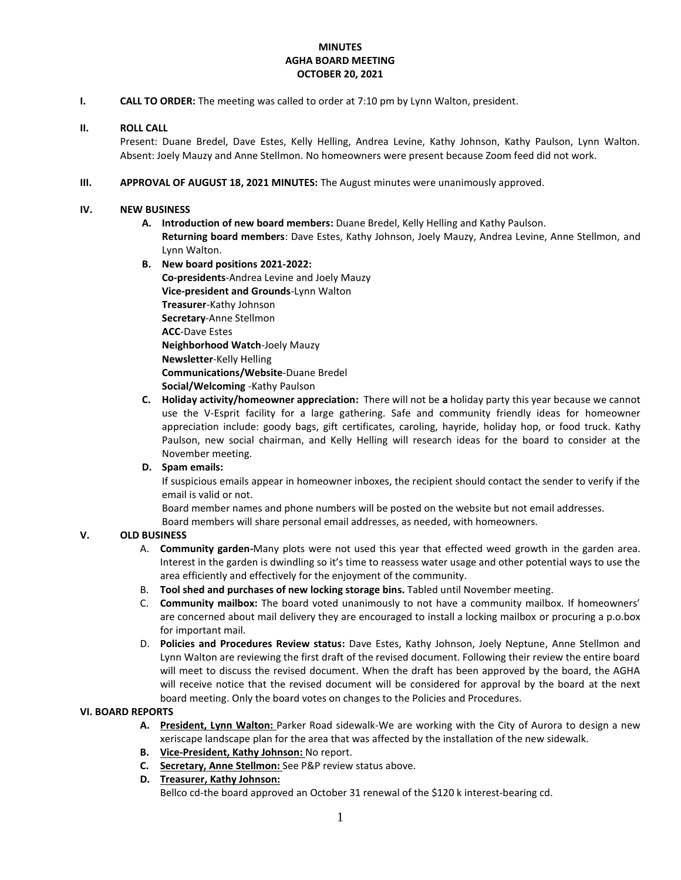## **MINUTES AGHA BOARD MEETING OCTOBER 20, 2021**

**I. CALL TO ORDER:** The meeting was called to order at 7:10 pm by Lynn Walton, president.

#### **II. ROLL CALL**

Present: Duane Bredel, Dave Estes, Kelly Helling, Andrea Levine, Kathy Johnson, Kathy Paulson, Lynn Walton. Absent: Joely Mauzy and Anne Stellmon. No homeowners were present because Zoom feed did not work.

**III. APPROVAL OF AUGUST 18, 2021 MINUTES:** The August minutes were unanimously approved.

#### **IV. NEW BUSINESS**

- **A. Introduction of new board members:** Duane Bredel, Kelly Helling and Kathy Paulson. **Returning board members**: Dave Estes, Kathy Johnson, Joely Mauzy, Andrea Levine, Anne Stellmon, and Lynn Walton.
- **B. New board positions 2021-2022: Co-presidents**-Andrea Levine and Joely Mauzy **Vice-president and Grounds**-Lynn Walton **Treasurer**-Kathy Johnson **Secretary**-Anne Stellmon **ACC**-Dave Estes **Neighborhood Watch**-Joely Mauzy **Newsletter**-Kelly Helling **Communications/Website**-Duane Bredel **Social/Welcoming** -Kathy Paulson
- **C. Holiday activity/homeowner appreciation:** There will not be **a** holiday party this year because we cannot use the V-Esprit facility for a large gathering. Safe and community friendly ideas for homeowner appreciation include: goody bags, gift certificates, caroling, hayride, holiday hop, or food truck. Kathy Paulson, new social chairman, and Kelly Helling will research ideas for the board to consider at the November meeting.

## **D. Spam emails:**

If suspicious emails appear in homeowner inboxes, the recipient should contact the sender to verify if the email is valid or not.

Board member names and phone numbers will be posted on the website but not email addresses. Board members will share personal email addresses, as needed, with homeowners.

## **V. OLD BUSINESS**

- A. **Community garden-**Many plots were not used this year that effected weed growth in the garden area. Interest in the garden is dwindling so it's time to reassess water usage and other potential ways to use the area efficiently and effectively for the enjoyment of the community.
- B. **Tool shed and purchases of new locking storage bins.** Tabled until November meeting.
- C. **Community mailbox:** The board voted unanimously to not have a community mailbox. If homeowners' are concerned about mail delivery they are encouraged to install a locking mailbox or procuring a p.o.box for important mail.
- D. **Policies and Procedures Review status:** Dave Estes, Kathy Johnson, Joely Neptune, Anne Stellmon and Lynn Walton are reviewing the first draft of the revised document. Following their review the entire board will meet to discuss the revised document. When the draft has been approved by the board, the AGHA will receive notice that the revised document will be considered for approval by the board at the next board meeting. Only the board votes on changes to the Policies and Procedures.

#### **VI. BOARD REPORTS**

- **A. President, Lynn Walton:** Parker Road sidewalk-We are working with the City of Aurora to design a new xeriscape landscape plan for the area that was affected by the installation of the new sidewalk.
- **B. Vice-President, Kathy Johnson:** No report.
- **C. Secretary, Anne Stellmon:** See P&P review status above.
- **D. Treasurer, Kathy Johnson:**

Bellco cd-the board approved an October 31 renewal of the \$120 k interest-bearing cd.